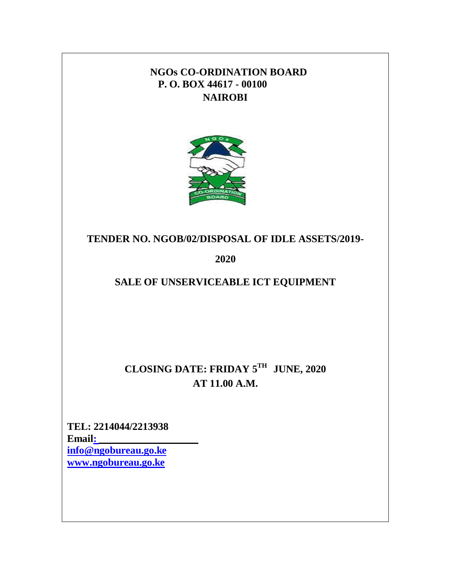### **NGOs CO-ORDINATION BOARD P. O. BOX 44617 - 00100 NAIROBI**



### **TENDER NO. NGOB/02/DISPOSAL OF IDLE ASSETS/2019-**

**2020**

## **SALE OF UNSERVICEABLE ICT EQUIPMENT**

**CLOSING DATE: FRIDAY 5 TH JUNE, 2020 AT 11.00 A.M.**

**TEL: 2214044/2213938 Emai[l:](mailto::%20info@ngobureau.go.ke)  [info@ngobureau.go.ke](mailto::%20info@ngobureau.go.ke) [www.ngobureau.go.ke](http://www.ngobureau.go.ke/)**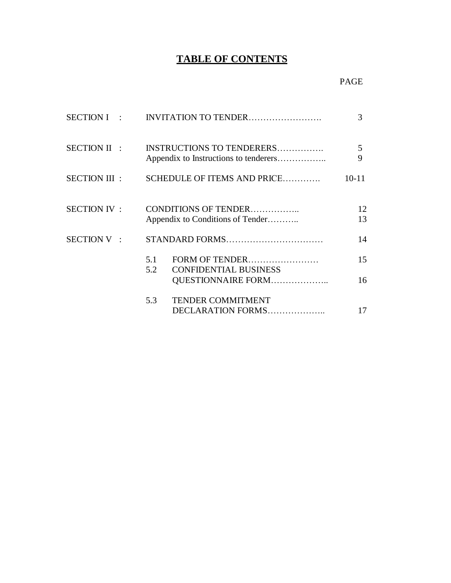# **TABLE OF CONTENTS**

|                    |            |                                                                    | 3         |
|--------------------|------------|--------------------------------------------------------------------|-----------|
| SECTION II :       |            | INSTRUCTIONS TO TENDERERS<br>Appendix to Instructions to tenderers | 5<br>9    |
| SECTION III :      |            | SCHEDULE OF ITEMS AND PRICE                                        | $10 - 11$ |
| <b>SECTION IV:</b> |            | CONDITIONS OF TENDER<br>Appendix to Conditions of Tender           | 12<br>13  |
| SECTION V:         |            |                                                                    | 14        |
|                    | 5.1<br>5.2 | FORM OF TENDER<br><b>CONFIDENTIAL BUSINESS</b>                     | 15        |
|                    |            | QUESTIONNAIRE FORM                                                 | 16        |
|                    | 5.3        | <b>TENDER COMMITMENT</b><br>DECLARATION FORMS                      | 17        |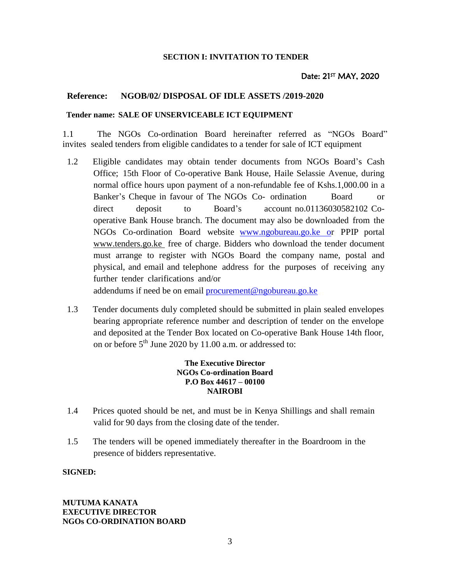#### **SECTION I: INVITATION TO TENDER**

#### Date: 21<sup>st</sup> MAY, 2020

#### **Reference: NGOB/02/ DISPOSAL OF IDLE ASSETS /2019-2020**

#### **Tender name: SALE OF UNSERVICEABLE ICT EQUIPMENT**

1.1 The NGOs Co-ordination Board hereinafter referred as "NGOs Board" invites sealed tenders from eligible candidates to a tender for sale of ICT equipment

1.2 Eligible candidates may obtain tender documents from NGOs Board's Cash Office; 15th Floor of Co-operative Bank House, Haile Selassie Avenue, during normal office hours upon payment of a non-refundable fee of Kshs.1,000.00 in a Banker's Cheque in favour of The NGOs Co- ordination Board or direct deposit to Board's account no.01136030582102 Cooperative Bank House branch. The document may also be downloaded from the NGOs Co-ordination Board website www.ngobureau.go.ke or PPIP portal [www.tenders.go.ke](http://www.tenders.go.ke/) free of charge. Bidders who download the tender document must arrange to register with NGOs Board the company name, postal and physical, and email and telephone address for the purposes of receiving any further tender clarifications and/or

addendums if need be on email [procurement@ngobureau.go.ke](mailto:procurement@ngobureau.go.ke)

1.3 Tender documents duly completed should be submitted in plain sealed envelopes bearing appropriate reference number and description of tender on the envelope and deposited at the Tender Box located on Co-operative Bank House 14th floor, on or before 5<sup>th</sup> June 2020 by 11.00 a.m. or addressed to:

#### **The Executive Director NGOs Co-ordination Board P.O Box 44617 – 00100 NAIROBI**

- 1.4 Prices quoted should be net, and must be in Kenya Shillings and shall remain valid for 90 days from the closing date of the tender.
- 1.5 The tenders will be opened immediately thereafter in the Boardroom in the presence of bidders representative.

#### **SIGNED:**

#### **MUTUMA KANATA EXECUTIVE DIRECTOR NGOs CO-ORDINATION BOARD**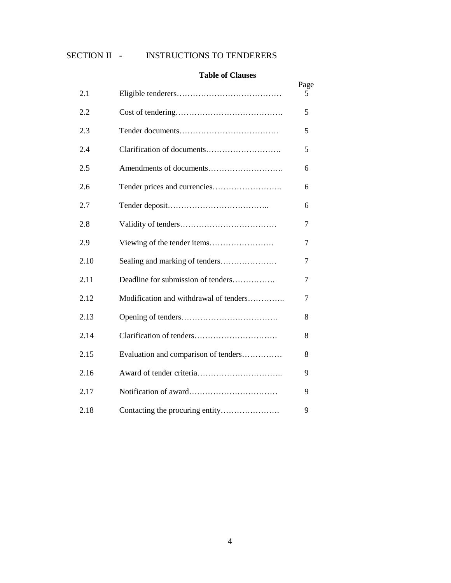#### SECTION II - INSTRUCTIONS TO TENDERERS

#### **Table of Clauses**

|      |                                        | Page |
|------|----------------------------------------|------|
| 2.1  |                                        | 5    |
| 2.2  |                                        | 5    |
| 2.3  |                                        | 5    |
| 2.4  |                                        | 5    |
| 2.5  |                                        | 6    |
| 2.6  |                                        | 6    |
| 2.7  |                                        | 6    |
| 2.8  |                                        | 7    |
| 2.9  |                                        | 7    |
| 2.10 |                                        | 7    |
| 2.11 | Deadline for submission of tenders     | 7    |
| 2.12 | Modification and withdrawal of tenders | 7    |
| 2.13 |                                        | 8    |
| 2.14 |                                        | 8    |
| 2.15 | Evaluation and comparison of tenders   | 8    |
| 2.16 |                                        | 9    |
| 2.17 |                                        | 9    |
| 2.18 | Contacting the procuring entity        | 9    |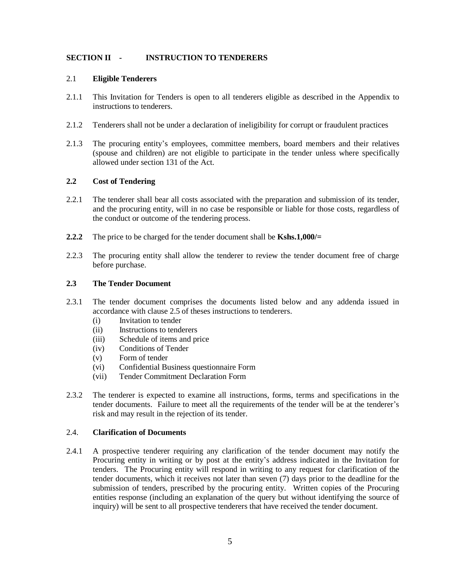#### **SECTION II - INSTRUCTION TO TENDERERS**

#### 2.1 **Eligible Tenderers**

- 2.1.1 This Invitation for Tenders is open to all tenderers eligible as described in the Appendix to instructions to tenderers.
- 2.1.2 Tenderers shall not be under a declaration of ineligibility for corrupt or fraudulent practices
- 2.1.3 The procuring entity's employees, committee members, board members and their relatives (spouse and children) are not eligible to participate in the tender unless where specifically allowed under section 131 of the Act.

#### **2.2 Cost of Tendering**

- 2.2.1 The tenderer shall bear all costs associated with the preparation and submission of its tender, and the procuring entity, will in no case be responsible or liable for those costs, regardless of the conduct or outcome of the tendering process.
- **2.2.2** The price to be charged for the tender document shall be **Kshs.1,000/=**
- 2.2.3 The procuring entity shall allow the tenderer to review the tender document free of charge before purchase.

#### **2.3 The Tender Document**

- 2.3.1 The tender document comprises the documents listed below and any addenda issued in accordance with clause 2.5 of theses instructions to tenderers.
	- (i) Invitation to tender
	- (ii) Instructions to tenderers
	- (iii) Schedule of items and price
	- (iv) Conditions of Tender
	- (v) Form of tender
	- (vi) Confidential Business questionnaire Form
	- (vii) Tender Commitment Declaration Form
- 2.3.2 The tenderer is expected to examine all instructions, forms, terms and specifications in the tender documents. Failure to meet all the requirements of the tender will be at the tenderer's risk and may result in the rejection of its tender.

#### 2.4. **Clarification of Documents**

2.4.1 A prospective tenderer requiring any clarification of the tender document may notify the Procuring entity in writing or by post at the entity's address indicated in the Invitation for tenders. The Procuring entity will respond in writing to any request for clarification of the tender documents, which it receives not later than seven (7) days prior to the deadline for the submission of tenders, prescribed by the procuring entity. Written copies of the Procuring entities response (including an explanation of the query but without identifying the source of inquiry) will be sent to all prospective tenderers that have received the tender document.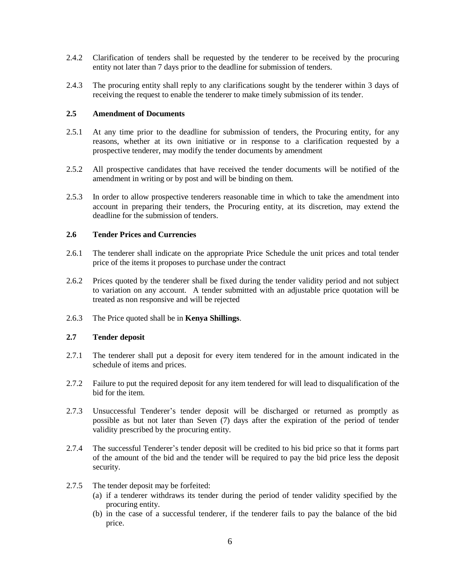- 2.4.2 Clarification of tenders shall be requested by the tenderer to be received by the procuring entity not later than 7 days prior to the deadline for submission of tenders.
- 2.4.3 The procuring entity shall reply to any clarifications sought by the tenderer within 3 days of receiving the request to enable the tenderer to make timely submission of its tender.

#### **2.5 Amendment of Documents**

- 2.5.1 At any time prior to the deadline for submission of tenders, the Procuring entity, for any reasons, whether at its own initiative or in response to a clarification requested by a prospective tenderer, may modify the tender documents by amendment
- 2.5.2 All prospective candidates that have received the tender documents will be notified of the amendment in writing or by post and will be binding on them.
- 2.5.3 In order to allow prospective tenderers reasonable time in which to take the amendment into account in preparing their tenders, the Procuring entity, at its discretion, may extend the deadline for the submission of tenders.

#### **2.6 Tender Prices and Currencies**

- 2.6.1 The tenderer shall indicate on the appropriate Price Schedule the unit prices and total tender price of the items it proposes to purchase under the contract
- 2.6.2 Prices quoted by the tenderer shall be fixed during the tender validity period and not subject to variation on any account. A tender submitted with an adjustable price quotation will be treated as non responsive and will be rejected
- 2.6.3 The Price quoted shall be in **Kenya Shillings**.

#### **2.7 Tender deposit**

- 2.7.1 The tenderer shall put a deposit for every item tendered for in the amount indicated in the schedule of items and prices.
- 2.7.2 Failure to put the required deposit for any item tendered for will lead to disqualification of the bid for the item.
- 2.7.3 Unsuccessful Tenderer's tender deposit will be discharged or returned as promptly as possible as but not later than Seven (7) days after the expiration of the period of tender validity prescribed by the procuring entity.
- 2.7.4 The successful Tenderer's tender deposit will be credited to his bid price so that it forms part of the amount of the bid and the tender will be required to pay the bid price less the deposit security.
- 2.7.5 The tender deposit may be forfeited:
	- (a) if a tenderer withdraws its tender during the period of tender validity specified by the procuring entity.
	- (b) in the case of a successful tenderer, if the tenderer fails to pay the balance of the bid price.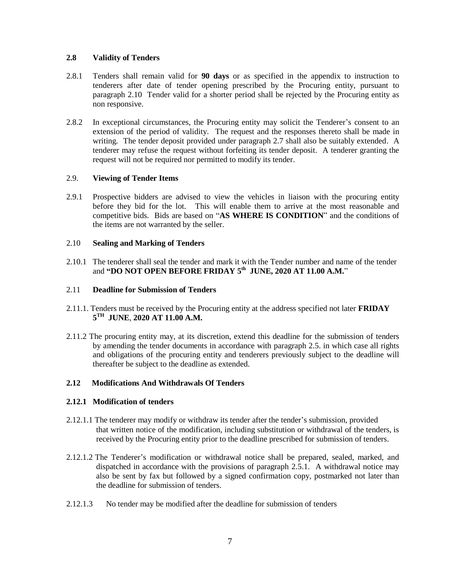#### **2.8 Validity of Tenders**

- 2.8.1 Tenders shall remain valid for **90 days** or as specified in the appendix to instruction to tenderers after date of tender opening prescribed by the Procuring entity, pursuant to paragraph 2.10 Tender valid for a shorter period shall be rejected by the Procuring entity as non responsive.
- 2.8.2 In exceptional circumstances, the Procuring entity may solicit the Tenderer's consent to an extension of the period of validity. The request and the responses thereto shall be made in writing. The tender deposit provided under paragraph 2.7 shall also be suitably extended. A tenderer may refuse the request without forfeiting its tender deposit. A tenderer granting the request will not be required nor permitted to modify its tender.

#### 2.9. **Viewing of Tender Items**

2.9.1 Prospective bidders are advised to view the vehicles in liaison with the procuring entity before they bid for the lot. This will enable them to arrive at the most reasonable and competitive bids. Bids are based on "**AS WHERE IS CONDITION**" and the conditions of the items are not warranted by the seller.

#### 2.10 **Sealing and Marking of Tenders**

2.10.1 The tenderer shall seal the tender and mark it with the Tender number and name of the tender and **"DO NOT OPEN BEFORE FRIDAY 5 th JUNE, 2020 AT 11.00 A.M.**"

#### 2.11 **Deadline for Submission of Tenders**

- 2.11.1. Tenders must be received by the Procuring entity at the address specified not later **FRIDAY 5 TH JUNE**, **2020 AT 11.00 A.M.**
- 2.11.2 The procuring entity may, at its discretion, extend this deadline for the submission of tenders by amending the tender documents in accordance with paragraph 2.5. in which case all rights and obligations of the procuring entity and tenderers previously subject to the deadline will thereafter be subject to the deadline as extended.

#### **2.12 Modifications And Withdrawals Of Tenders**

#### **2.12.1 Modification of tenders**

- 2.12.1.1 The tenderer may modify or withdraw its tender after the tender's submission, provided that written notice of the modification, including substitution or withdrawal of the tenders, is received by the Procuring entity prior to the deadline prescribed for submission of tenders.
- 2.12.1.2 The Tenderer's modification or withdrawal notice shall be prepared, sealed, marked, and dispatched in accordance with the provisions of paragraph 2.5.1. A withdrawal notice may also be sent by fax but followed by a signed confirmation copy, postmarked not later than the deadline for submission of tenders.
- 2.12.1.3 No tender may be modified after the deadline for submission of tenders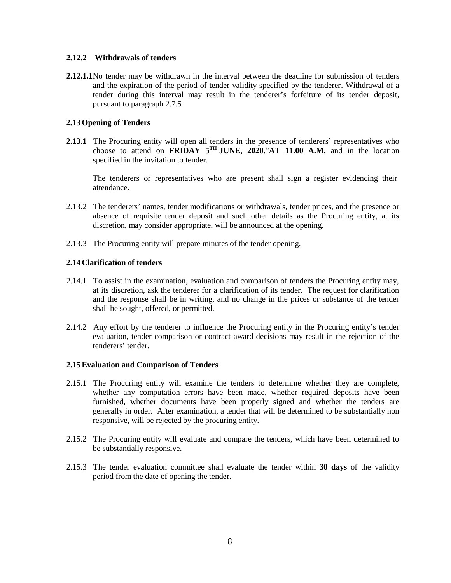#### **2.12.2 Withdrawals of tenders**

**2.12.1.1**No tender may be withdrawn in the interval between the deadline for submission of tenders and the expiration of the period of tender validity specified by the tenderer. Withdrawal of a tender during this interval may result in the tenderer's forfeiture of its tender deposit, pursuant to paragraph 2.7.5

#### **2.13Opening of Tenders**

2.13.1 The Procuring entity will open all tenders in the presence of tenderers' representatives who choose to attend on **FRIDAY**  $5^{TH}$  **JUNE**, 2020."AT 11.00 A.M. and in the location specified in the invitation to tender.

The tenderers or representatives who are present shall sign a register evidencing their attendance.

- 2.13.2 The tenderers' names, tender modifications or withdrawals, tender prices, and the presence or absence of requisite tender deposit and such other details as the Procuring entity, at its discretion, may consider appropriate, will be announced at the opening.
- 2.13.3 The Procuring entity will prepare minutes of the tender opening.

#### **2.14 Clarification of tenders**

- 2.14.1 To assist in the examination, evaluation and comparison of tenders the Procuring entity may, at its discretion, ask the tenderer for a clarification of its tender. The request for clarification and the response shall be in writing, and no change in the prices or substance of the tender shall be sought, offered, or permitted.
- 2.14.2 Any effort by the tenderer to influence the Procuring entity in the Procuring entity's tender evaluation, tender comparison or contract award decisions may result in the rejection of the tenderers' tender.

#### **2.15Evaluation and Comparison of Tenders**

- 2.15.1 The Procuring entity will examine the tenders to determine whether they are complete, whether any computation errors have been made, whether required deposits have been furnished, whether documents have been properly signed and whether the tenders are generally in order. After examination, a tender that will be determined to be substantially non responsive, will be rejected by the procuring entity.
- 2.15.2 The Procuring entity will evaluate and compare the tenders, which have been determined to be substantially responsive.
- 2.15.3 The tender evaluation committee shall evaluate the tender within **30 days** of the validity period from the date of opening the tender.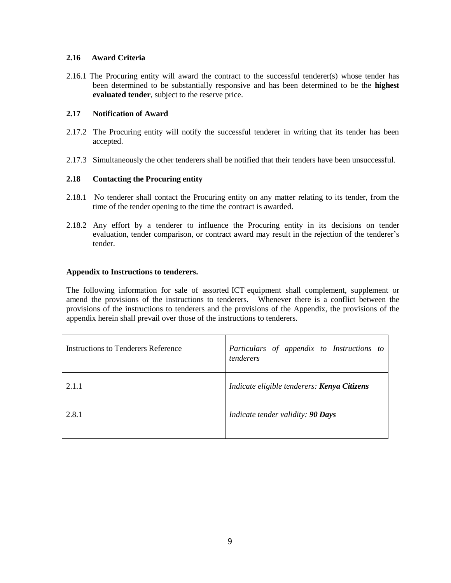#### **2.16 Award Criteria**

2.16.1 The Procuring entity will award the contract to the successful tenderer(s) whose tender has been determined to be substantially responsive and has been determined to be the **highest evaluated tender**, subject to the reserve price.

#### **2.17 Notification of Award**

- 2.17.2 The Procuring entity will notify the successful tenderer in writing that its tender has been accepted.
- 2.17.3 Simultaneously the other tenderers shall be notified that their tenders have been unsuccessful.

#### **2.18 Contacting the Procuring entity**

- 2.18.1 No tenderer shall contact the Procuring entity on any matter relating to its tender, from the time of the tender opening to the time the contract is awarded.
- 2.18.2 Any effort by a tenderer to influence the Procuring entity in its decisions on tender evaluation, tender comparison, or contract award may result in the rejection of the tenderer's tender.

#### **Appendix to Instructions to tenderers.**

The following information for sale of assorted ICT equipment shall complement, supplement or amend the provisions of the instructions to tenderers. Whenever there is a conflict between the provisions of the instructions to tenderers and the provisions of the Appendix, the provisions of the appendix herein shall prevail over those of the instructions to tenderers.

| Instructions to Tenderers Reference | Particulars of appendix to Instructions to<br>tenderers |
|-------------------------------------|---------------------------------------------------------|
| 2.11                                | Indicate eligible tenderers: <b>Kenya Citizens</b>      |
| 2.8.1                               | Indicate tender validity: 90 Days                       |
|                                     |                                                         |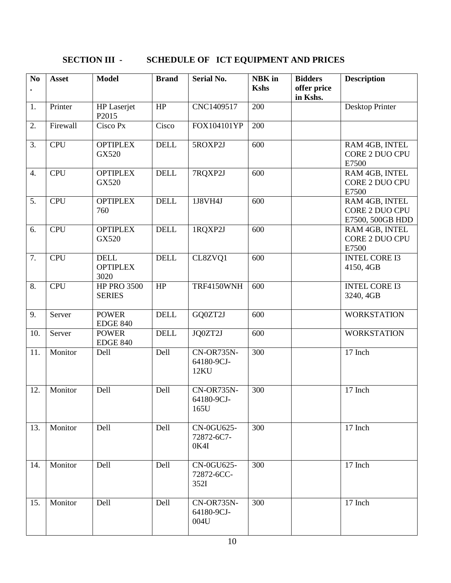# **SECTION III - SCHEDULE OF ICT EQUIPMENT AND PRICES**

| No<br>$\bullet$ | <b>Asset</b> | <b>Model</b>                           | <b>Brand</b> | <b>Serial No.</b>                | NBK in<br><b>Kshs</b> | <b>Bidders</b><br>offer price<br>in Kshs. | <b>Description</b>                                   |
|-----------------|--------------|----------------------------------------|--------------|----------------------------------|-----------------------|-------------------------------------------|------------------------------------------------------|
| 1.              | Printer      | HP Laserjet<br>P2015                   | HP           | CNC1409517                       | 200                   |                                           | Desktop Printer                                      |
| 2.              | Firewall     | Cisco Px                               | Cisco        | FOX104101YP                      | 200                   |                                           |                                                      |
| 3.              | <b>CPU</b>   | <b>OPTIPLEX</b><br>GX520               | <b>DELL</b>  | 5ROXP2J                          | 600                   |                                           | RAM 4GB, INTEL<br>CORE 2 DUO CPU<br>E7500            |
| 4.              | <b>CPU</b>   | <b>OPTIPLEX</b><br>GX520               | <b>DELL</b>  | 7RQXP2J                          | 600                   |                                           | RAM 4GB, INTEL<br>CORE 2 DUO CPU<br>E7500            |
| 5.              | <b>CPU</b>   | <b>OPTIPLEX</b><br>760                 | <b>DELL</b>  | 1J8VH4J                          | 600                   |                                           | RAM 4GB, INTEL<br>CORE 2 DUO CPU<br>E7500, 500GB HDD |
| 6.              | <b>CPU</b>   | <b>OPTIPLEX</b><br>GX520               | <b>DELL</b>  | 1RQXP2J                          | 600                   |                                           | RAM 4GB, INTEL<br>CORE 2 DUO CPU<br>E7500            |
| 7.              | <b>CPU</b>   | <b>DELL</b><br><b>OPTIPLEX</b><br>3020 | <b>DELL</b>  | CL8ZVQ1                          | 600                   |                                           | <b>INTEL CORE I3</b><br>4150, 4GB                    |
| 8.              | <b>CPU</b>   | <b>HP PRO 3500</b><br><b>SERIES</b>    | HP           | TRF4150WNH                       | 600                   |                                           | <b>INTEL CORE I3</b><br>3240, 4GB                    |
| 9.              | Server       | <b>POWER</b><br><b>EDGE 840</b>        | <b>DELL</b>  | GQ0ZT2J                          | 600                   |                                           | <b>WORKSTATION</b>                                   |
| 10.             | Server       | <b>POWER</b><br><b>EDGE 840</b>        | <b>DELL</b>  | JQ0ZT2J                          | 600                   |                                           | <b>WORKSTATION</b>                                   |
| 11.             | Monitor      | Dell                                   | Dell         | CN-OR735N-<br>64180-9CJ-<br>12KU | 300                   |                                           | 17 Inch                                              |
| 12.             | Monitor      | Dell                                   | Dell         | CN-OR735N-<br>64180-9CJ-<br>165U | 300                   |                                           | 17 Inch                                              |
| 13.             | Monitor      | Dell                                   | Dell         | CN-0GU625-<br>72872-6C7-<br>0K4I | 300                   |                                           | 17 Inch                                              |
| 14.             | Monitor      | Dell                                   | Dell         | CN-0GU625-<br>72872-6CC-<br>352I | 300                   |                                           | 17 Inch                                              |
| 15.             | Monitor      | Dell                                   | <b>Dell</b>  | CN-OR735N-<br>64180-9CJ-<br>004U | 300                   |                                           | 17 Inch                                              |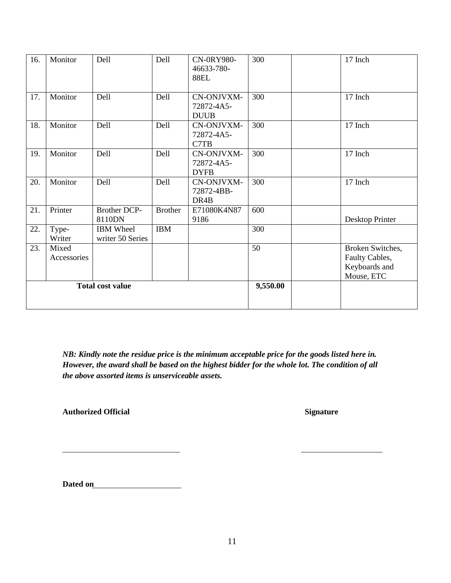| 16.                     | Monitor              | Dell                                 | Dell           | CN-0RY980-<br>46633-780-<br><b>88EL</b> | 300      | 17 Inch                                                           |
|-------------------------|----------------------|--------------------------------------|----------------|-----------------------------------------|----------|-------------------------------------------------------------------|
| 17.                     | Monitor              | Dell                                 | Dell           | CN-ONJVXM-<br>72872-4A5-<br><b>DUUB</b> | 300      | 17 Inch                                                           |
| 18.                     | Monitor              | Dell                                 | Dell           | CN-ONJVXM-<br>72872-4A5-<br>C7TB        | 300      | 17 Inch                                                           |
| 19.                     | Monitor              | Dell                                 | Dell           | CN-ONJVXM-<br>72872-4A5-<br><b>DYFB</b> | 300      | 17 Inch                                                           |
| 20.                     | Monitor              | Dell                                 | Dell           | CN-ONJVXM-<br>72872-4BB-<br>DR4B        | 300      | 17 Inch                                                           |
| 21.                     | Printer              | Brother DCP-<br>8110DN               | <b>Brother</b> | E71080K4N87<br>9186                     | 600      | Desktop Printer                                                   |
| 22.                     | Type-<br>Writer      | <b>IBM</b> Wheel<br>writer 50 Series | <b>IBM</b>     |                                         | 300      |                                                                   |
| 23.                     | Mixed<br>Accessories |                                      |                |                                         | 50       | Broken Switches,<br>Faulty Cables,<br>Keyboards and<br>Mouse, ETC |
| <b>Total cost value</b> |                      |                                      |                |                                         | 9,550.00 |                                                                   |

*NB: Kindly note the residue price is the minimum acceptable price for the goods listed here in. However, the award shall be based on the highest bidder for the whole lot. The condition of all the above assorted items is unserviceable assets.*

Authorized Official Signature

**Dated on**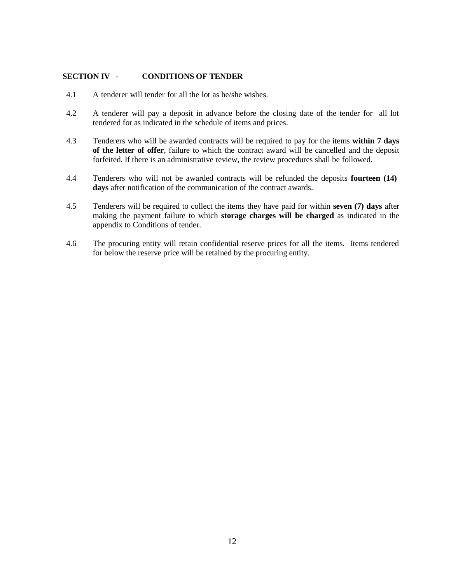#### **SECTION IV - CONDITIONS OF TENDER**

- 4.1 A tenderer will tender for all the lot as he/she wishes.
- 4.2 A tenderer will pay a deposit in advance before the closing date of the tender for all lot tendered for as indicated in the schedule of items and prices.
- 4.3 Tenderers who will be awarded contracts will be required to pay for the items **within 7 days of the letter of offer**, failure to which the contract award will be cancelled and the deposit forfeited. If there is an administrative review, the review procedures shall be followed.
- 4.4 Tenderers who will not be awarded contracts will be refunded the deposits **fourteen (14) days** after notification of the communication of the contract awards.
- 4.5 Tenderers will be required to collect the items they have paid for within **seven (7) days** after making the payment failure to which **storage charges will be charged** as indicated in the appendix to Conditions of tender.
- 4.6 The procuring entity will retain confidential reserve prices for all the items. Items tendered for below the reserve price will be retained by the procuring entity.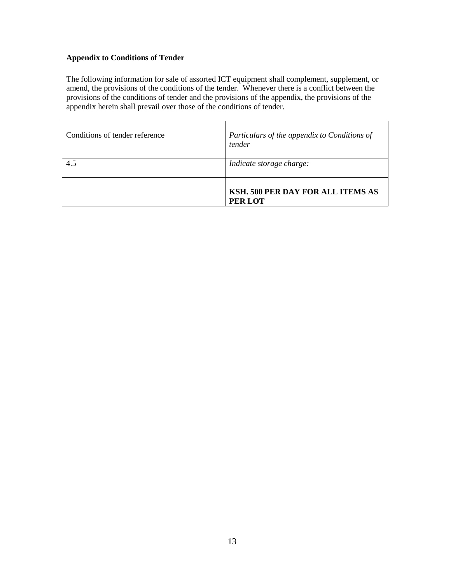#### **Appendix to Conditions of Tender**

The following information for sale of assorted ICT equipment shall complement, supplement, or amend, the provisions of the conditions of the tender. Whenever there is a conflict between the provisions of the conditions of tender and the provisions of the appendix, the provisions of the appendix herein shall prevail over those of the conditions of tender.

| Conditions of tender reference | Particulars of the appendix to Conditions of<br>tender |
|--------------------------------|--------------------------------------------------------|
| 4.5                            | Indicate storage charge:                               |
|                                | KSH. 500 PER DAY FOR ALL ITEMS AS<br>PER LOT           |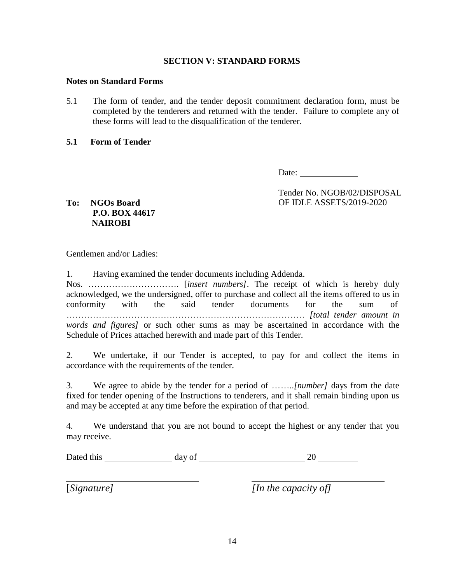#### **SECTION V: STANDARD FORMS**

#### **Notes on Standard Forms**

5.1 The form of tender, and the tender deposit commitment declaration form, must be completed by the tenderers and returned with the tender. Failure to complete any of these forms will lead to the disqualification of the tenderer.

#### **5.1 Form of Tender**

Date:

Tender No. NGOB/02/DISPOSAL OF IDLE ASSETS/2019-2020

**To: NGOs Board P.O. BOX 44617 NAIROBI**

Gentlemen and/or Ladies:

1. Having examined the tender documents including Addenda.

Nos. …………………………. [*insert numbers].* The receipt of which is hereby duly acknowledged, we the undersigned, offer to purchase and collect all the items offered to us in conformity with the said tender documents for the sum of ……………………………………………………………………… *[total tender amount in words and figures]* or such other sums as may be ascertained in accordance with the Schedule of Prices attached herewith and made part of this Tender.

2. We undertake, if our Tender is accepted, to pay for and collect the items in accordance with the requirements of the tender.

3. We agree to abide by the tender for a period of ……..*[number]* days from the date fixed for tender opening of the Instructions to tenderers, and it shall remain binding upon us and may be accepted at any time before the expiration of that period.

4. We understand that you are not bound to accept the highest or any tender that you may receive.

| Dated this<br>day of |  |
|----------------------|--|
|----------------------|--|

[*Signature] [In the capacity of]*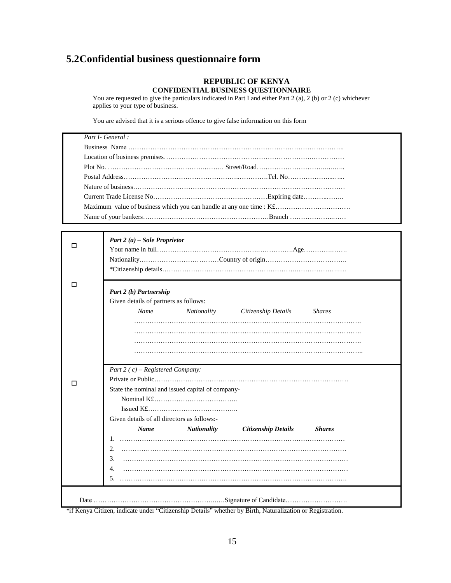## **5.2Confidential business questionnaire form**

#### **REPUBLIC OF KENYA CONFIDENTIALBUSINESS QUESTIONNAIRE**

You are requested to give the particulars indicated in Part I and either Part 2 (a), 2 (b) or 2 (c) whichever applies to your type of business.

You are advised that it is a serious offence to give false information on this form

| Part I- General:                                                    |  |
|---------------------------------------------------------------------|--|
|                                                                     |  |
|                                                                     |  |
|                                                                     |  |
|                                                                     |  |
|                                                                     |  |
|                                                                     |  |
| Maximum value of business which you can handle at any one time : K£ |  |
|                                                                     |  |

|   | Part 2 (a) – Sole Proprietor                                              |  |  |  |  |  |  |  |
|---|---------------------------------------------------------------------------|--|--|--|--|--|--|--|
| □ | Part 2 (b) Partnership                                                    |  |  |  |  |  |  |  |
|   | Given details of partners as follows:                                     |  |  |  |  |  |  |  |
|   | Name<br>Nationality<br>Citizenship Details<br><b>Shares</b>               |  |  |  |  |  |  |  |
|   |                                                                           |  |  |  |  |  |  |  |
|   |                                                                           |  |  |  |  |  |  |  |
|   |                                                                           |  |  |  |  |  |  |  |
|   |                                                                           |  |  |  |  |  |  |  |
|   |                                                                           |  |  |  |  |  |  |  |
|   | Part 2 ( $c$ ) – Registered Company:                                      |  |  |  |  |  |  |  |
|   |                                                                           |  |  |  |  |  |  |  |
|   | State the nominal and issued capital of company-                          |  |  |  |  |  |  |  |
|   |                                                                           |  |  |  |  |  |  |  |
|   |                                                                           |  |  |  |  |  |  |  |
|   | Given details of all directors as follows:-                               |  |  |  |  |  |  |  |
|   | <b>Name</b><br><b>Nationality</b><br>Citizenship Details<br><b>Shares</b> |  |  |  |  |  |  |  |
|   |                                                                           |  |  |  |  |  |  |  |
|   | $2_{-}$                                                                   |  |  |  |  |  |  |  |
|   | 3.                                                                        |  |  |  |  |  |  |  |
|   | 4.                                                                        |  |  |  |  |  |  |  |
|   | 5.                                                                        |  |  |  |  |  |  |  |
|   |                                                                           |  |  |  |  |  |  |  |

\*if Kenya Citizen, indicate under "Citizenship Details" whether by Birth, Naturalization or Registration.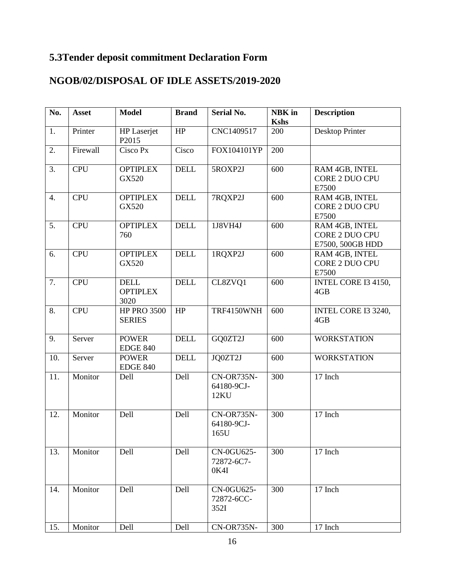# **5.3Tender deposit commitment Declaration Form**

## **NGOB/02/DISPOSAL OF IDLE ASSETS/2019-2020**

| No. | <b>Asset</b> | <b>Model</b>                           | <b>Brand</b> | <b>Serial No.</b>                | <b>NBK</b> in<br><b>Kshs</b> | <b>Description</b>                                   |
|-----|--------------|----------------------------------------|--------------|----------------------------------|------------------------------|------------------------------------------------------|
| 1.  | Printer      | <b>HP</b> Laserjet<br>P2015            | HP           | CNC1409517                       | 200                          | Desktop Printer                                      |
| 2.  | Firewall     | Cisco Px                               | Cisco        | FOX104101YP                      | 200                          |                                                      |
| 3.  | <b>CPU</b>   | <b>OPTIPLEX</b><br>GX520               | <b>DELL</b>  | 5ROXP2J                          | 600                          | RAM 4GB, INTEL<br><b>CORE 2 DUO CPU</b><br>E7500     |
| 4.  | <b>CPU</b>   | <b>OPTIPLEX</b><br>GX520               | <b>DELL</b>  | 7RQXP2J                          | 600                          | RAM 4GB, INTEL<br>CORE 2 DUO CPU<br>E7500            |
| 5.  | <b>CPU</b>   | <b>OPTIPLEX</b><br>760                 | <b>DELL</b>  | 1J8VH4J                          | 600                          | RAM 4GB, INTEL<br>CORE 2 DUO CPU<br>E7500, 500GB HDD |
| 6.  | <b>CPU</b>   | <b>OPTIPLEX</b><br>GX520               | <b>DELL</b>  | 1RQXP2J                          | 600                          | RAM 4GB, INTEL<br>CORE 2 DUO CPU<br>E7500            |
| 7.  | <b>CPU</b>   | <b>DELL</b><br><b>OPTIPLEX</b><br>3020 | <b>DELL</b>  | CL8ZVQ1                          | 600                          | INTEL CORE I3 4150,<br>4GB                           |
| 8.  | <b>CPU</b>   | <b>HP PRO 3500</b><br><b>SERIES</b>    | HP           | TRF4150WNH                       | 600                          | INTEL CORE I3 3240,<br>4GB                           |
| 9.  | Server       | <b>POWER</b><br><b>EDGE 840</b>        | <b>DELL</b>  | GQ0ZT2J                          | 600                          | <b>WORKSTATION</b>                                   |
| 10. | Server       | <b>POWER</b><br><b>EDGE 840</b>        | <b>DELL</b>  | JQ0ZT2J                          | 600                          | <b>WORKSTATION</b>                                   |
| 11. | Monitor      | Dell                                   | Dell         | CN-OR735N-<br>64180-9CJ-<br>12KU | 300                          | 17 Inch                                              |
| 12. | Monitor      | Dell                                   | Dell         | CN-OR735N-<br>64180-9CJ-<br>165U | 300                          | 17 Inch                                              |
| 13. | Monitor      | Dell                                   | Dell         | CN-0GU625-<br>72872-6C7-<br>0K4I | 300                          | 17 Inch                                              |
| 14. | Monitor      | Dell                                   | Dell         | CN-0GU625-<br>72872-6CC-<br>352I | 300                          | 17 Inch                                              |
| 15. | Monitor      | Dell                                   | Dell         | CN-OR735N-                       | 300                          | 17 Inch                                              |